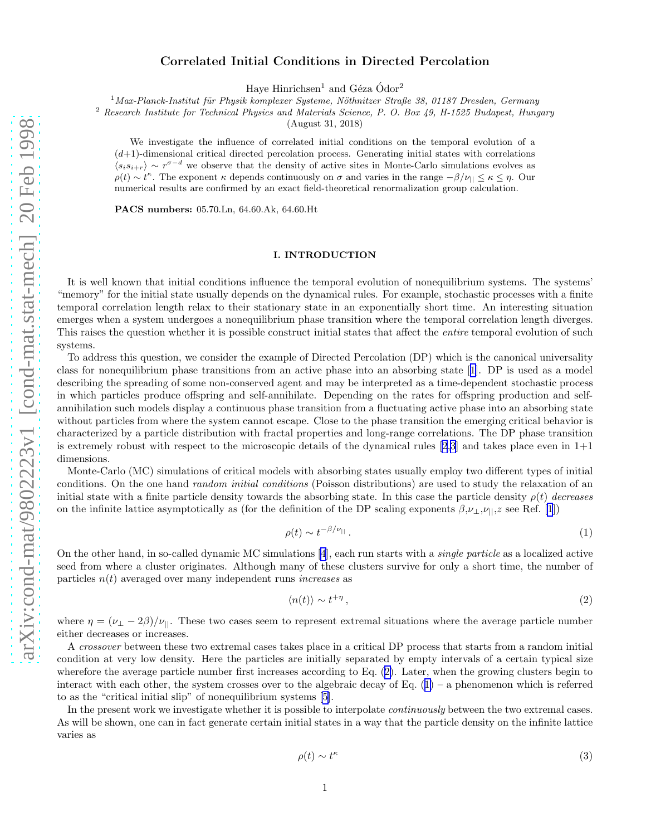# Correlated Initial Conditions in Directed Percolation

Haye Hinrichsen<sup>1</sup> and Géza  $\acute{O}$ dor<sup>2</sup>

 $1$ Max-Planck-Institut für Physik komplexer Systeme, Nöthnitzer Straße 38, 01187 Dresden, Germany

<span id="page-0-0"></span><sup>2</sup> Research Institute for Technical Physics and Materials Science, P. O. Box 49, H-1525 Budapest, Hungary

(August 31, 2018)

We investigate the influence of correlated initial conditions on the temporal evolution of a  $(d+1)$ -dimensional critical directed percolation process. Generating initial states with correlations  $\langle s_i s_{i+r} \rangle \sim r^{\sigma-d}$  we observe that the density of active sites in Monte-Carlo simulations evolves as  $\rho(t) \sim t^{\kappa}$ . The exponent  $\kappa$  depends continuously on  $\sigma$  and varies in the range  $-\beta/\nu_{||} \leq \kappa \leq \eta$ . Our numerical results are confirmed by an exact field-theoretical renormalization group calculation.

PACS numbers: 05.70.Ln, 64.60.Ak, 64.60.Ht

# I. INTRODUCTION

It is well known that initial conditions influence the temporal evolution of nonequilibrium systems. The systems' "memory" for the initial state usually depends on the dynamical rules. For example, stochastic processes with a finite temporal correlation length relax to their stationary state in an exponentially short time. An interesting situation emerges when a system undergoes a nonequilibrium phase transition where the temporal correlation length diverges. This raises the question whether it is possible construct initial states that affect the *entire* temporal evolution of such systems.

To address this question, we consider the example of Directed Percolation (DP) which is the canonical universality class for nonequilibrium phase transitions from an active phase into an absorbing state[[1\]](#page-8-0). DP is used as a model describing the spreading of some non-conserved agent and may be interpreted as a time-dependent stochastic process in which particles produce offspring and self-annihilate. Depending on the rates for offspring production and selfannihilation such models display a continuous phase transition from a fluctuating active phase into an absorbing state without particles from where the system cannot escape. Close to the phase transition the emerging critical behavior is characterized by a particle distribution with fractal properties and long-range correlations. The DP phase transition is extremely robust with respect to the microscopic details of the dynamical rules  $[2,3]$  and takes place even in  $1+1$ dimensions.

Monte-Carlo (MC) simulations of critical models with absorbing states usually employ two different types of initial conditions. On the one hand *random initial conditions* (Poisson distributions) are used to study the relaxation of an initial state with a finite particle density towards the absorbing state. In this case the particle density  $\rho(t)$  decreases on the infinite lattice asymptotically as (for the definition of the DP scaling exponents  $\beta,\nu_{\perp},\nu_{\parallel},z$  see Ref. [\[1](#page-8-0)])

$$
\rho(t) \sim t^{-\beta/\nu_{||}}.\tag{1}
$$

On the other hand, in so-called dynamic MC simulations [\[4](#page-9-0)], each run starts with a single particle as a localized active seed from where a cluster originates. Although many of these clusters survive for only a short time, the number of particles  $n(t)$  averaged over many independent runs *increases* as

$$
\langle n(t) \rangle \sim t^{+\eta},\tag{2}
$$

where  $\eta = (\nu_{\perp} - 2\beta)/\nu_{\parallel}$ . These two cases seem to represent extremal situations where the average particle number either decreases or increases.

A crossover between these two extremal cases takes place in a critical DP process that starts from a random initial condition at very low density. Here the particles are initially separated by empty intervals of a certain typical size wherefore the average particle number first increases according to Eq. (2). Later, when the growing clusters begin to interact with each other, the system crosses over to the algebraic decay of Eq.  $(1)$  – a phenomenon which is referred to as the "critical initial slip" of nonequilibrium systems[[5\]](#page-9-0).

In the present work we investigate whether it is possible to interpolate *continuously* between the two extremal cases. As will be shown, one can in fact generate certain initial states in a way that the particle density on the infinite lattice varies as

$$
\rho(t) \sim t^{\kappa} \tag{3}
$$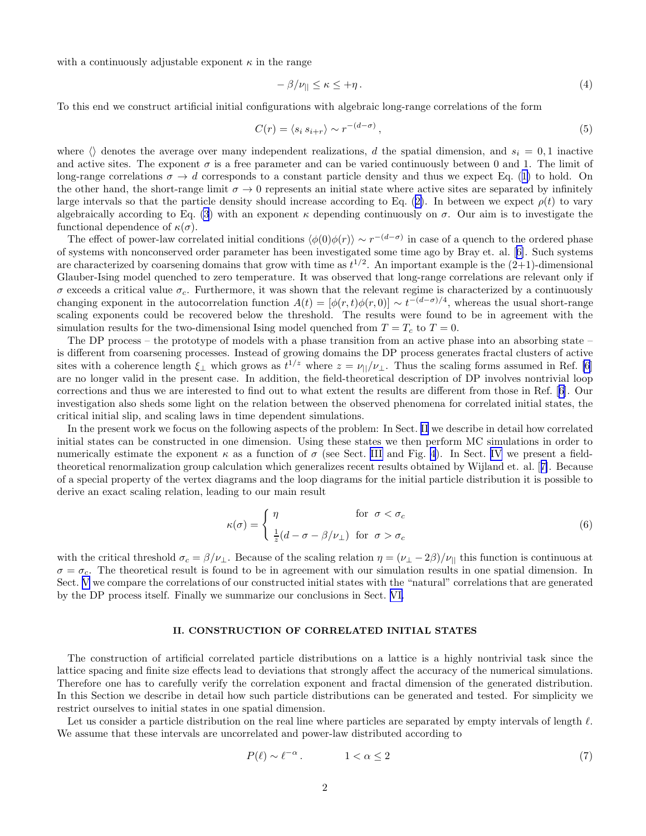<span id="page-1-0"></span>with a continuously adjustable exponent  $\kappa$  in the range

$$
-\beta/\nu_{\parallel} \leq \kappa \leq +\eta. \tag{4}
$$

To this end we construct artificial initial configurations with algebraic long-range correlations of the form

$$
C(r) = \langle s_i \, s_{i+r} \rangle \sim r^{-(d-\sigma)},\tag{5}
$$

where  $\langle \rangle$  denotes the average over many independent realizations, d the spatial dimension, and  $s_i = 0, 1$  inactive and active sites. The exponent  $\sigma$  is a free parameter and can be varied continuously between 0 and 1. The limit of long-rangecorrelations  $\sigma \to d$  corresponds to a constant particle density and thus we expect Eq. ([1\)](#page-0-0) to hold. On the other hand, the short-range limit  $\sigma \to 0$  represents an initial state where active sites are separated by infinitely largeintervals so that the particle density should increase according to Eq. ([2\)](#page-0-0). In between we expect  $\rho(t)$  to vary algebraically according to Eq. [\(3](#page-0-0)) with an exponent  $\kappa$  depending continuously on  $\sigma$ . Our aim is to investigate the functional dependence of  $\kappa(\sigma)$ .

The effect of power-law correlated initial conditions  $\langle \phi(0)\phi(r) \rangle \sim r^{-(d-\sigma)}$  in case of a quench to the ordered phase of systems with nonconserved order parameter has been investigated some time ago by Bray et. al.[[6\]](#page-9-0). Such systems are characterized by coarsening domains that grow with time as  $t^{1/2}$ . An important example is the  $(2+1)$ -dimensional Glauber-Ising model quenched to zero temperature. It was observed that long-range correlations are relevant only if  $\sigma$  exceeds a critical value  $\sigma_c$ . Furthermore, it was shown that the relevant regime is characterized by a continuously changing exponent in the autocorrelation function  $A(t) = [\phi(r, t)\phi(r, 0)] \sim t^{-(d-\sigma)/4}$ , whereas the usual short-range scaling exponents could be recovered below the threshold. The results were found to be in agreement with the simulation results for the two-dimensional Ising model quenched from  $T = T_c$  to  $T = 0$ .

The DP process – the prototype of models with a phase transition from an active phase into an absorbing state – is different from coarsening processes. Instead of growing domains the DP process generates fractal clusters of active sites with a coherence length  $\xi_{\perp}$  which grows as  $t^{1/z}$  where  $z = \nu_{\parallel}/\nu_{\perp}$ . Thus the scaling forms assumed in Ref. [\[6](#page-9-0)] are no longer valid in the present case. In addition, the field-theoretical description of DP involves nontrivial loop corrections and thus we are interested to find out to what extent the results are different from those in Ref.[[6\]](#page-9-0). Our investigation also sheds some light on the relation between the observed phenomena for correlated initial states, the critical initial slip, and scaling laws in time dependent simulations.

In the present work we focus on the following aspects of the problem: In Sect. II we describe in detail how correlated initial states can be constructed in one dimension. Using these states we then perform MC simulations in order to numerically estimate the exponent  $\kappa$  as a function of  $\sigma$  (see Sect. [III](#page-3-0) and Fig. [4](#page-5-0)). In Sect. [IV](#page-4-0) we present a fieldtheoretical renormalization group calculation which generalizes recent results obtained by Wijland et. al.[[7\]](#page-9-0). Because of a special property of the vertex diagrams and the loop diagrams for the initial particle distribution it is possible to derive an exact scaling relation, leading to our main result

$$
\kappa(\sigma) = \begin{cases} \eta & \text{for } \sigma < \sigma_c \\ \frac{1}{z}(d - \sigma - \beta/\nu_\perp) & \text{for } \sigma > \sigma_c \end{cases} \tag{6}
$$

with the critical threshold  $\sigma_c = \beta/\nu_{\perp}$ . Because of the scaling relation  $\eta = (\nu_{\perp} - 2\beta)/\nu_{||}$  this function is continuous at  $\sigma = \sigma_c$ . The theoretical result is found to be in agreement with our simulation results in one spatial dimension. In Sect. [V](#page-8-0) we compare the correlations of our constructed initial states with the "natural" correlations that are generated by the DP process itself. Finally we summarize our conclusions in Sect. [VI.](#page-8-0)

## II. CONSTRUCTION OF CORRELATED INITIAL STATES

The construction of artificial correlated particle distributions on a lattice is a highly nontrivial task since the lattice spacing and finite size effects lead to deviations that strongly affect the accuracy of the numerical simulations. Therefore one has to carefully verify the correlation exponent and fractal dimension of the generated distribution. In this Section we describe in detail how such particle distributions can be generated and tested. For simplicity we restrict ourselves to initial states in one spatial dimension.

Let us consider a particle distribution on the real line where particles are separated by empty intervals of length  $\ell$ . We assume that these intervals are uncorrelated and power-law distributed according to

$$
P(\ell) \sim \ell^{-\alpha} \,. \tag{7}
$$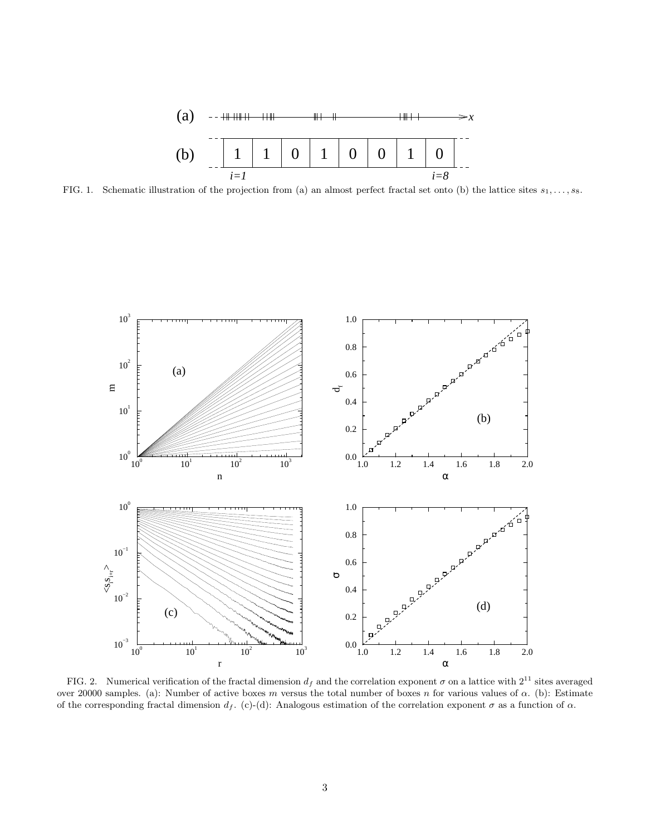

<span id="page-2-0"></span>FIG. 1. Schematic illustration of the projection from (a) an almost perfect fractal set onto (b) the lattice sites  $s_1, \ldots, s_8$ .



FIG. 2. Numerical verification of the fractal dimension  $d_f$  and the correlation exponent  $\sigma$  on a lattice with  $2^{11}$  sites averaged over 20000 samples. (a): Number of active boxes m versus the total number of boxes n for various values of  $\alpha$ . (b): Estimate of the corresponding fractal dimension  $d_f$ . (c)-(d): Analogous estimation of the correlation exponent  $\sigma$  as a function of  $\alpha$ .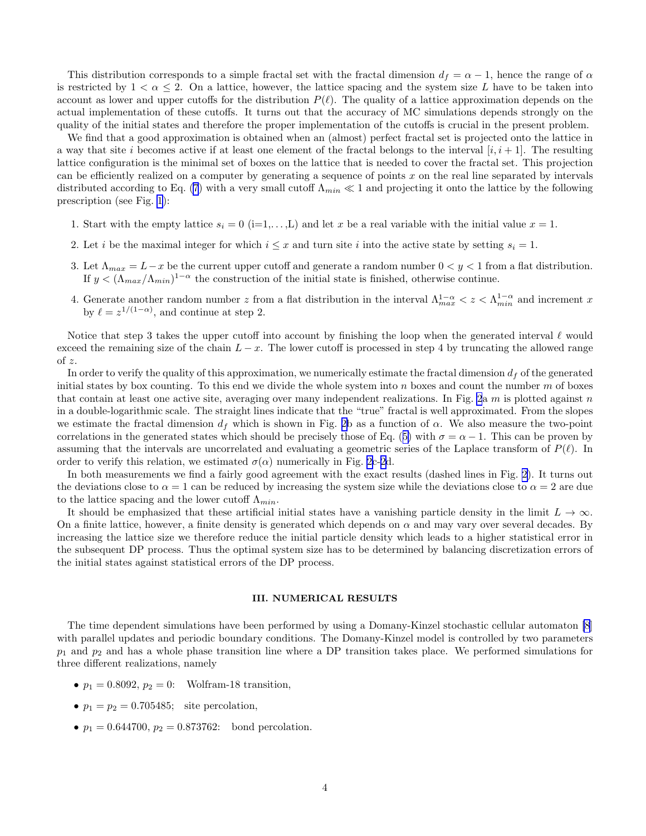<span id="page-3-0"></span>This distribution corresponds to a simple fractal set with the fractal dimension  $d_f = \alpha - 1$ , hence the range of  $\alpha$ is restricted by  $1 < \alpha \leq 2$ . On a lattice, however, the lattice spacing and the system size L have to be taken into account as lower and upper cutoffs for the distribution  $P(\ell)$ . The quality of a lattice approximation depends on the actual implementation of these cutoffs. It turns out that the accuracy of MC simulations depends strongly on the quality of the initial states and therefore the proper implementation of the cutoffs is crucial in the present problem.

We find that a good approximation is obtained when an (almost) perfect fractal set is projected onto the lattice in a way that site i becomes active if at least one element of the fractal belongs to the interval  $[i, i + 1]$ . The resulting lattice configuration is the minimal set of boxes on the lattice that is needed to cover the fractal set. This projection can be efficiently realized on a computer by generating a sequence of points  $x$  on the real line separated by intervals distributed according to Eq. [\(7](#page-1-0)) with a very small cutoff  $\Lambda_{min} \ll 1$  and projecting it onto the lattice by the following prescription (see Fig. [1](#page-2-0)):

- 1. Start with the empty lattice  $s_i = 0$  (i=1,...,L) and let x be a real variable with the initial value  $x = 1$ .
- 2. Let i be the maximal integer for which  $i \leq x$  and turn site i into the active state by setting  $s_i = 1$ .
- 3. Let  $\Lambda_{max} = L x$  be the current upper cutoff and generate a random number  $0 < y < 1$  from a flat distribution. If  $y < (\Lambda_{max}/\Lambda_{min})^{1-\alpha}$  the construction of the initial state is finished, otherwise continue.
- 4. Generate another random number z from a flat distribution in the interval  $\Lambda_{max}^{1-\alpha} < z < \Lambda_{min}^{1-\alpha}$  and increment x by  $\ell = z^{1/(1-\alpha)}$ , and continue at step 2.

Notice that step 3 takes the upper cutoff into account by finishing the loop when the generated interval  $\ell$  would exceed the remaining size of the chain  $L - x$ . The lower cutoff is processed in step 4 by truncating the allowed range of z.

In order to verify the quality of this approximation, we numerically estimate the fractal dimension  $d_f$  of the generated initial states by box counting. To this end we divide the whole system into  $n$  boxes and count the number  $m$  of boxes that contain at least one active site, averaging over many independent realizations. In Fig. [2](#page-2-0)a  $m$  is plotted against  $n$ in a double-logarithmic scale. The straight lines indicate that the "true" fractal is well approximated. From the slopes we estimate the fractal dimension  $d_f$  which is shown in Fig. [2b](#page-2-0) as a function of  $\alpha$ . We also measure the two-point correlationsin the generated states which should be precisely those of Eq. ([5\)](#page-1-0) with  $\sigma = \alpha - 1$ . This can be proven by assuming that the intervals are uncorrelated and evaluating a geometric series of the Laplace transform of  $P(\ell)$ . In order to verify this relation, we estimated  $\sigma(\alpha)$  numerically in Fig. [2](#page-2-0)c-[2d](#page-2-0).

In both measurements we find a fairly good agreement with the exact results (dashed lines in Fig. [2\)](#page-2-0). It turns out the deviations close to  $\alpha = 1$  can be reduced by increasing the system size while the deviations close to  $\alpha = 2$  are due to the lattice spacing and the lower cutoff  $\Lambda_{min}$ .

It should be emphasized that these artificial initial states have a vanishing particle density in the limit  $L \to \infty$ . On a finite lattice, however, a finite density is generated which depends on  $\alpha$  and may vary over several decades. By increasing the lattice size we therefore reduce the initial particle density which leads to a higher statistical error in the subsequent DP process. Thus the optimal system size has to be determined by balancing discretization errors of the initial states against statistical errors of the DP process.

### III. NUMERICAL RESULTS

The time dependent simulations have been performed by using a Domany-Kinzel stochastic cellular automaton [\[8](#page-9-0)] with parallel updates and periodic boundary conditions. The Domany-Kinzel model is controlled by two parameters  $p_1$  and  $p_2$  and has a whole phase transition line where a DP transition takes place. We performed simulations for three different realizations, namely

- $p_1 = 0.8092, p_2 = 0$ : Wolfram-18 transition,
- $p_1 = p_2 = 0.705485$ ; site percolation,
- $p_1 = 0.644700, p_2 = 0.873762$ : bond percolation.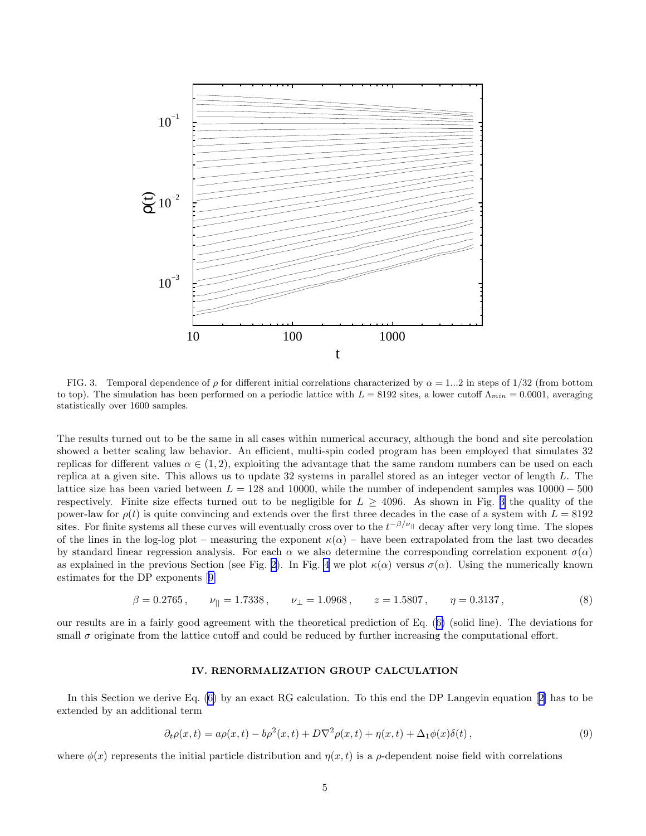<span id="page-4-0"></span>

FIG. 3. Temporal dependence of  $\rho$  for different initial correlations characterized by  $\alpha = 1...2$  in steps of 1/32 (from bottom to top). The simulation has been performed on a periodic lattice with  $L = 8192$  sites, a lower cutoff  $\Lambda_{min} = 0.0001$ , averaging statistically over 1600 samples.

The results turned out to be the same in all cases within numerical accuracy, although the bond and site percolation showed a better scaling law behavior. An efficient, multi-spin coded program has been employed that simulates 32 replicas for different values  $\alpha \in (1,2)$ , exploiting the advantage that the same random numbers can be used on each replica at a given site. This allows us to update 32 systems in parallel stored as an integer vector of length L. The lattice size has been varied between  $L = 128$  and 10000, while the number of independent samples was  $10000 - 500$ respectively. Finite size effects turned out to be negligible for  $L \geq 4096$ . As shown in Fig. 3 the quality of the power-law for  $\rho(t)$  is quite convincing and extends over the first three decades in the case of a system with  $L = 8192$ sites. For finite systems all these curves will eventually cross over to the  $t^{-\beta/\nu_{||}}$  decay after very long time. The slopes of the lines in the log-log plot – measuring the exponent  $\kappa(\alpha)$  – have been extrapolated from the last two decades by standard linear regression analysis. For each  $\alpha$  we also determine the corresponding correlation exponent  $\sigma(\alpha)$ as explained in the previous Section (see Fig. [2\)](#page-2-0). In Fig. [4](#page-5-0) we plot  $\kappa(\alpha)$  versus  $\sigma(\alpha)$ . Using the numerically known estimates for the DP exponents[[9\]](#page-9-0)

$$
\beta = 0.2765, \qquad \nu_{||} = 1.7338, \qquad \nu_{\perp} = 1.0968, \qquad z = 1.5807, \qquad \eta = 0.3137, \tag{8}
$$

our results are in a fairly good agreement with the theoretical prediction of Eq.([6\)](#page-1-0) (solid line). The deviations for small  $\sigma$  originate from the lattice cutoff and could be reduced by further increasing the computational effort.

#### IV. RENORMALIZATION GROUP CALCULATION

In this Section we derive Eq. [\(6](#page-1-0)) by an exact RG calculation. To this end the DP Langevin equation[[2\]](#page-8-0) has to be extended by an additional term

$$
\partial_t \rho(x,t) = a\rho(x,t) - b\rho^2(x,t) + D\nabla^2 \rho(x,t) + \eta(x,t) + \Delta_1 \phi(x)\delta(t),\tag{9}
$$

where  $\phi(x)$  represents the initial particle distribution and  $\eta(x, t)$  is a  $\rho$ -dependent noise field with correlations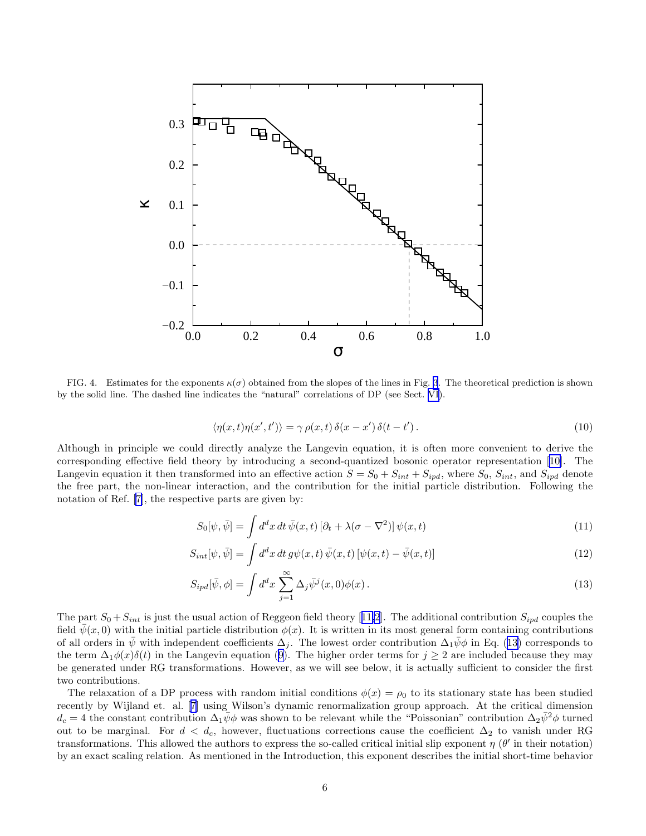<span id="page-5-0"></span>

FIG. 4. Estimates for the exponents  $\kappa(\sigma)$  obtained from the slopes of the lines in Fig. [3](#page-4-0). The theoretical prediction is shown by the solid line. The dashed line indicates the "natural" correlations of DP (see Sect. [VI](#page-8-0)).

$$
\langle \eta(x,t)\eta(x',t')\rangle = \gamma \,\rho(x,t)\,\delta(x-x')\,\delta(t-t').\tag{10}
$$

Although in principle we could directly analyze the Langevin equation, it is often more convenient to derive the corresponding effective field theory by introducing a second-quantized bosonic operator representation[[10\]](#page-9-0). The Langevin equation it then transformed into an effective action  $S = S_0 + S_{int} + S_{ipd}$ , where  $S_0$ ,  $S_{int}$ , and  $S_{ipd}$  denote the free part, the non-linear interaction, and the contribution for the initial particle distribution. Following the notation of Ref.[[7\]](#page-9-0), the respective parts are given by:

$$
S_0[\psi, \bar{\psi}] = \int d^d x \, dt \, \bar{\psi}(x, t) \left[\partial_t + \lambda(\sigma - \nabla^2)\right] \psi(x, t) \tag{11}
$$

$$
S_{int}[\psi,\bar{\psi}] = \int d^d x \, dt \, g\psi(x,t) \, \bar{\psi}(x,t) \left[\psi(x,t) - \bar{\psi}(x,t)\right]
$$
\n<sup>(12)</sup>

$$
S_{ipd}[\bar{\psi}, \phi] = \int d^d x \sum_{j=1}^{\infty} \Delta_j \bar{\psi}^j(x, 0) \phi(x).
$$
 (13)

Thepart  $S_0 + S_{int}$  is just the usual action of Reggeon field theory [[11](#page-9-0)[,2](#page-8-0)]. The additional contribution  $S_{ipd}$  couples the field  $\psi(x, 0)$  with the initial particle distribution  $\phi(x)$ . It is written in its most general form containing contributions of all orders in  $\psi$  with independent coefficients  $\Delta_j$ . The lowest order contribution  $\Delta_1\psi\phi$  in Eq. (13) corresponds to theterm  $\Delta_1 \phi(x) \delta(t)$  in the Langevin equation ([9\)](#page-4-0). The higher order terms for  $j \geq 2$  are included because they may be generated under RG transformations. However, as we will see below, it is actually sufficient to consider the first two contributions.

The relaxation of a DP process with random initial conditions  $\phi(x) = \rho_0$  to its stationary state has been studied recently by Wijland et. al.[[7\]](#page-9-0) using Wilson's dynamic renormalization group approach. At the critical dimension  $d_c = 4$  the constant contribution  $\Delta_1 \psi \phi$  was shown to be relevant while the "Poissonian" contribution  $\Delta_2 \bar{\psi}^2 \phi$  turned out to be marginal. For  $d < d_c$ , however, fluctuations corrections cause the coefficient  $\Delta_2$  to vanish under RG transformations. This allowed the authors to express the so-called critical initial slip exponent  $\eta$  ( $\theta'$  in their notation) by an exact scaling relation. As mentioned in the Introduction, this exponent describes the initial short-time behavior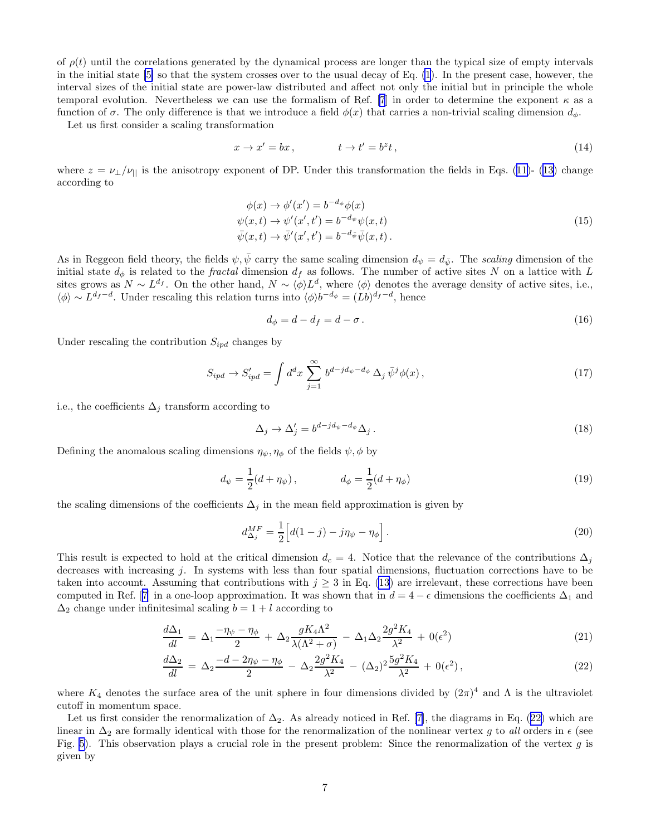<span id="page-6-0"></span>of  $\rho(t)$  until the correlations generated by the dynamical process are longer than the typical size of empty intervals in the initial state [\[5\]](#page-9-0) so that the system crosses over to the usual decay of Eq. [\(1](#page-0-0)). In the present case, however, the interval sizes of the initial state are power-law distributed and affect not only the initial but in principle the whole temporal evolution. Nevertheless we can use the formalism of Ref. [\[7](#page-9-0)] in order to determine the exponent  $\kappa$  as a function of  $\sigma$ . The only difference is that we introduce a field  $\phi(x)$  that carries a non-trivial scaling dimension  $d_{\phi}$ .

Let us first consider a scaling transformation

$$
x \to x' = bx, \qquad t \to t' = b^z t, \qquad (14)
$$

where $z = \nu_{\perp}/\nu_{||}$  is the anisotropy exponent of DP. Under this transformation the fields in Eqs. ([11\)](#page-5-0)- ([13\)](#page-5-0) change according to

$$
\begin{aligned}\n\phi(x) &\to \phi'(x') = b^{-d_{\phi}}\phi(x) \\
\psi(x,t) &\to \psi'(x',t') = b^{-d_{\psi}}\psi(x,t) \\
\overline{\psi}(x,t) &\to \overline{\psi}'(x',t') = b^{-d_{\overline{\psi}}}\overline{\psi}(x,t)\n\end{aligned} \tag{15}
$$

As in Reggeon field theory, the fields  $\psi, \bar{\psi}$  carry the same scaling dimension  $d_{\psi} = d_{\bar{\psi}}$ . The scaling dimension of the initial state  $d_{\phi}$  is related to the *fractal* dimension  $d_f$  as follows. The number of active sites N on a lattice with L sites grows as  $N \sim L^{d_f}$ . On the other hand,  $N \sim \langle \phi \rangle L^d$ , where  $\langle \phi \rangle$  denotes the average density of active sites, i.e.,  $\langle \phi \rangle \sim L^{d_f-d}$ . Under rescaling this relation turns into  $\langle \phi \rangle b^{-d_{\phi}} = (Lb)^{d_f-d}$ , hence

$$
d_{\phi} = d - d_f = d - \sigma. \tag{16}
$$

Under rescaling the contribution  $S_{ipd}$  changes by

$$
S_{ipd} \to S'_{ipd} = \int d^d x \sum_{j=1}^{\infty} b^{d-jd_{\psi}-d_{\phi}} \Delta_j \bar{\psi}^j \phi(x), \qquad (17)
$$

i.e., the coefficients  $\Delta_i$  transform according to

$$
\Delta_j \to \Delta'_j = b^{d-jd_\psi - d_\phi} \Delta_j \,. \tag{18}
$$

Defining the anomalous scaling dimensions  $\eta_{\psi}, \eta_{\phi}$  of the fields  $\psi, \phi$  by

$$
d_{\psi} = \frac{1}{2}(d + \eta_{\psi}), \qquad d_{\phi} = \frac{1}{2}(d + \eta_{\phi})
$$
\n(19)

the scaling dimensions of the coefficients  $\Delta_j$  in the mean field approximation is given by

$$
d_{\Delta_j}^{MF} = \frac{1}{2} \Big[ d(1-j) - j\eta_\psi - \eta_\phi \Big]. \tag{20}
$$

This result is expected to hold at the critical dimension  $d_c = 4$ . Notice that the relevance of the contributions  $\Delta_i$ decreases with increasing j. In systems with less than four spatial dimensions, fluctuation corrections have to be taken into account. Assuming that contributions with  $j \geq 3$  in Eq. [\(13](#page-5-0)) are irrelevant, these corrections have been computedin Ref. [[7](#page-9-0)] in a one-loop approximation. It was shown that in  $d = 4 - \epsilon$  dimensions the coefficients  $\Delta_1$  and  $\Delta_2$  change under infinitesimal scaling  $b = 1 + l$  according to

$$
\frac{d\Delta_1}{dl} = \Delta_1 \frac{-\eta_\psi - \eta_\phi}{2} + \Delta_2 \frac{gK_4\Lambda^2}{\lambda(\Lambda^2 + \sigma)} - \Delta_1 \Delta_2 \frac{2g^2K_4}{\lambda^2} + 0(\epsilon^2)
$$
\n(21)

$$
\frac{d\Delta_2}{dl} = \Delta_2 \frac{-d - 2\eta_\psi - \eta_\phi}{2} - \Delta_2 \frac{2g^2 K_4}{\lambda^2} - (\Delta_2)^2 \frac{5g^2 K_4}{\lambda^2} + 0(\epsilon^2),\tag{22}
$$

where  $K_4$  denotes the surface area of the unit sphere in four dimensions divided by  $(2\pi)^4$  and  $\Lambda$  is the ultraviolet cutoff in momentum space.

Let us first consider the renormalization of  $\Delta_2$ . As already noticed in Ref. [\[7](#page-9-0)], the diagrams in Eq. (22) which are linear in  $\Delta_2$  are formally identical with those for the renormalization of the nonlinear vertex g to all orders in  $\epsilon$  (see Fig. [5](#page-7-0)). This observation plays a crucial role in the present problem: Since the renormalization of the vertex  $g$  is given by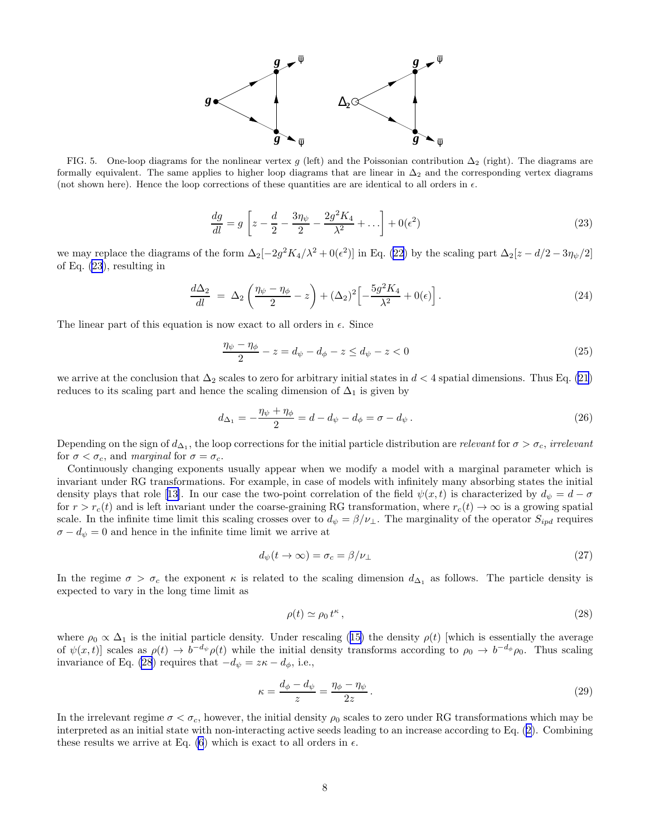

<span id="page-7-0"></span>FIG. 5. One-loop diagrams for the nonlinear vertex g (left) and the Poissonian contribution  $\Delta_2$  (right). The diagrams are formally equivalent. The same applies to higher loop diagrams that are linear in  $\Delta_2$  and the corresponding vertex diagrams (not shown here). Hence the loop corrections of these quantities are are identical to all orders in  $\epsilon$ .

$$
\frac{dg}{dl} = g \left[ z - \frac{d}{2} - \frac{3\eta_{\psi}}{2} - \frac{2g^2 K_4}{\lambda^2} + \dots \right] + 0(\epsilon^2)
$$
\n(23)

wemay replace the diagrams of the form  $\Delta_2[-2g^2K_4/\lambda^2+0(\epsilon^2)]$  in Eq. ([22\)](#page-6-0) by the scaling part  $\Delta_2[z-d/2-3\eta_\psi/2]$ of Eq. (23), resulting in

$$
\frac{d\Delta_2}{dl} = \Delta_2 \left( \frac{\eta_\psi - \eta_\phi}{2} - z \right) + (\Delta_2)^2 \left[ -\frac{5g^2 K_4}{\lambda^2} + 0(\epsilon) \right]. \tag{24}
$$

The linear part of this equation is now exact to all orders in  $\epsilon$ . Since

$$
\frac{\eta_{\psi} - \eta_{\phi}}{2} - z = d_{\psi} - d_{\phi} - z \le d_{\psi} - z < 0 \tag{25}
$$

we arrive at the conclusion that  $\Delta_2$  scales to zero for arbitrary initial states in  $d < 4$  spatial dimensions. Thus Eq. [\(21](#page-6-0)) reduces to its scaling part and hence the scaling dimension of  $\Delta_1$  is given by

$$
d_{\Delta_1} = -\frac{\eta_{\psi} + \eta_{\phi}}{2} = d - d_{\psi} - d_{\phi} = \sigma - d_{\psi}.
$$
 (26)

Depending on the sign of  $d_{\Delta_1}$ , the loop corrections for the initial particle distribution are relevant for  $\sigma > \sigma_c$ , irrelevant for  $\sigma < \sigma_c$ , and marginal for  $\sigma = \sigma_c$ .

Continuously changing exponents usually appear when we modify a model with a marginal parameter which is invariant under RG transformations. For example, in case of models with infinitely many absorbing states the initial densityplays that role [[13\]](#page-9-0). In our case the two-point correlation of the field  $\psi(x,t)$  is characterized by  $d_{\psi} = d - \sigma$ for  $r > r_c(t)$  and is left invariant under the coarse-graining RG transformation, where  $r_c(t) \to \infty$  is a growing spatial scale. In the infinite time limit this scaling crosses over to  $d_{\psi} = \beta/\nu_{\perp}$ . The marginality of the operator  $S_{ipd}$  requires  $\sigma - d_{\psi} = 0$  and hence in the infinite time limit we arrive at

$$
d_{\psi}(t \to \infty) = \sigma_c = \beta/\nu_{\perp} \tag{27}
$$

In the regime  $\sigma > \sigma_c$  the exponent  $\kappa$  is related to the scaling dimension  $d_{\Delta_1}$  as follows. The particle density is expected to vary in the long time limit as

$$
\rho(t) \simeq \rho_0 \, t^{\kappa} \,,\tag{28}
$$

where $\rho_0 \propto \Delta_1$  is the initial particle density. Under rescaling ([15\)](#page-6-0) the density  $\rho(t)$  [which is essentially the average of  $\psi(x,t)$  scales as  $\rho(t) \to b^{-d_{\psi}} \rho(t)$  while the initial density transforms according to  $\rho_0 \to b^{-d_{\phi}} \rho_0$ . Thus scaling invariance of Eq. (28) requires that  $-d_{\psi} = z\kappa - d_{\phi}$ , i.e.,

$$
\kappa = \frac{d_{\phi} - d_{\psi}}{z} = \frac{\eta_{\phi} - \eta_{\psi}}{2z} \,. \tag{29}
$$

In the irrelevant regime  $\sigma < \sigma_c$ , however, the initial density  $\rho_0$  scales to zero under RG transformations which may be interpreted as an initial state with non-interacting active seeds leading to an increase according to Eq.([2\)](#page-0-0). Combining these results we arrive at Eq. [\(6](#page-1-0)) which is exact to all orders in  $\epsilon$ .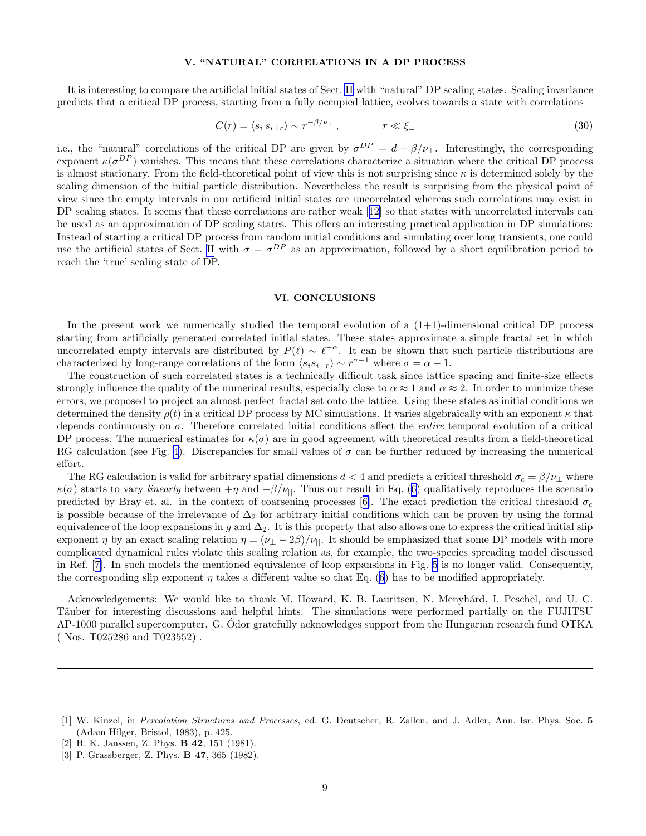### V. "NATURAL" CORRELATIONS IN A DP PROCESS

<span id="page-8-0"></span>It is interesting to compare the artificial initial states of Sect. [II](#page-1-0) with "natural" DP scaling states. Scaling invariance predicts that a critical DP process, starting from a fully occupied lattice, evolves towards a state with correlations

$$
C(r) = \langle s_i \, s_{i+r} \rangle \sim r^{-\beta/\nu_{\perp}}, \qquad \qquad r \ll \xi_{\perp} \tag{30}
$$

i.e., the "natural" correlations of the critical DP are given by  $\sigma^{DP} = d - \beta/\nu_{\perp}$ . Interestingly, the corresponding exponent  $\kappa(\sigma^{DP})$  vanishes. This means that these correlations characterize a situation where the critical DP process is almost stationary. From the field-theoretical point of view this is not surprising since  $\kappa$  is determined solely by the scaling dimension of the initial particle distribution. Nevertheless the result is surprising from the physical point of view since the empty intervals in our artificial initial states are uncorrelated whereas such correlations may exist in DP scaling states. It seems that these correlations are rather weak[[12\]](#page-9-0) so that states with uncorrelated intervals can be used as an approximation of DP scaling states. This offers an interesting practical application in DP simulations: Instead of starting a critical DP process from random initial conditions and simulating over long transients, one could use the artificial states of Sect. [II](#page-1-0) with  $\sigma = \sigma^{DP}$  as an approximation, followed by a short equilibration period to reach the 'true' scaling state of DP.

#### VI. CONCLUSIONS

In the present work we numerically studied the temporal evolution of a  $(1+1)$ -dimensional critical DP process starting from artificially generated correlated initial states. These states approximate a simple fractal set in which uncorrelated empty intervals are distributed by  $P(\ell) \sim \ell^{-\alpha}$ . It can be shown that such particle distributions are characterized by long-range correlations of the form  $\langle s_i s_{i+r} \rangle \sim r^{\sigma-1}$  where  $\sigma = \alpha - 1$ .

The construction of such correlated states is a technically difficult task since lattice spacing and finite-size effects strongly influence the quality of the numerical results, especially close to  $\alpha \approx 1$  and  $\alpha \approx 2$ . In order to minimize these errors, we proposed to project an almost perfect fractal set onto the lattice. Using these states as initial conditions we determined the density  $\rho(t)$  in a critical DP process by MC simulations. It varies algebraically with an exponent  $\kappa$  that depends continuously on  $\sigma$ . Therefore correlated initial conditions affect the *entire* temporal evolution of a critical DP process. The numerical estimates for  $\kappa(\sigma)$  are in good agreement with theoretical results from a field-theoretical RG calculation (see Fig. [4](#page-5-0)). Discrepancies for small values of  $\sigma$  can be further reduced by increasing the numerical effort.

The RG calculation is valid for arbitrary spatial dimensions  $d < 4$  and predicts a critical threshold  $\sigma_c = \beta/\nu_\perp$  where  $\kappa(\sigma)$ starts to vary *linearly* between  $+\eta$  and  $-\beta/\nu_{||}$ . Thus our result in Eq. ([6\)](#page-1-0) qualitatively reproduces the scenario predictedby Bray et. al. in the context of coarsening processes [[6\]](#page-9-0). The exact prediction the critical threshold  $\sigma_c$ is possible because of the irrelevance of  $\Delta_2$  for arbitrary initial conditions which can be proven by using the formal equivalence of the loop expansions in g and  $\Delta_2$ . It is this property that also allows one to express the critical initial slip exponent  $\eta$  by an exact scaling relation  $\eta = (\nu_{\perp} - 2\beta)/\nu_{\parallel}$ . It should be emphasized that some DP models with more complicated dynamical rules violate this scaling relation as, for example, the two-species spreading model discussed in Ref.[[7\]](#page-9-0). In such models the mentioned equivalence of loop expansions in Fig. [5](#page-7-0) is no longer valid. Consequently, thecorresponding slip exponent  $\eta$  takes a different value so that Eq. ([6\)](#page-1-0) has to be modified appropriately.

Acknowledgements: We would like to thank M. Howard, K. B. Lauritsen, N. Menyhárd, I. Peschel, and U. C. Täuber for interesting discussions and helpful hints. The simulations were performed partially on the FUJITSU  $AP-1000$  parallel supercomputer. G. Odor gratefully acknowledges support from the Hungarian research fund OTKA ( Nos. T025286 and T023552) .

[3] P. Grassberger, Z. Phys. **B 47**, 365 (1982).

<sup>[1]</sup> W. Kinzel, in Percolation Structures and Processes, ed. G. Deutscher, R. Zallen, and J. Adler, Ann. Isr. Phys. Soc. 5 (Adam Hilger, Bristol, 1983), p. 425.

<sup>[2]</sup> H. K. Janssen, Z. Phys. **B 42**, 151 (1981).